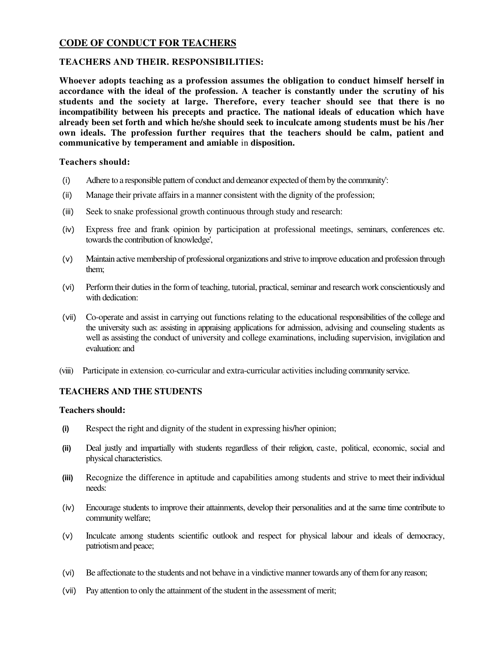# **CODE OF CONDUCT FOR TEACHERS**

### **TEACHERS AND THEIR. RESPONSIBILITIES:**

**Whoever adopts teaching as a profession assumes the obligation to conduct himself herself in accordance with the ideal of the profession. A teacher is constantly under the scrutiny of his students and the society at large. Therefore, every teacher should see that there is no incompatibility between his precepts and practice. The national ideals of education which have already been set forth and which he/she should seek to inculcate among students must be his /her own ideals. The profession further requires that the teachers should be calm, patient and communicative by temperament and amiable** in **disposition.** 

#### **Teachers should:**

- (i) Adhere to a responsible pattern of conduct and demeanor expected of them by the community':
- (ii) Manage their private affairs in a manner consistent with the dignity of the profession;
- (iii) Seek to snake professional growth continuous through study and research:
- (iv) Express free and frank opinion by participation at professional meetings, seminars, conferences etc. towards the contribution of knowledge',
- (v) Maintain active membership of professional organizations and strive to improve education and profession through them;
- (vi) Perform their duties in the form of teaching, tutorial, practical, seminar and research work conscientiously and with dedication:
- (vii) Co-operate and assist in carrying out functions relating to the educational responsibilities of the college and the university such as: assisting in appraising applications for admission, advising and counseling students as well as assisting the conduct of university and college examinations, including supervision, invigilation and evaluation: and
- (viii) Participate in extension: co-curricular and extra-curricular activities including community service.

# **TEACHERS AND THE STUDENTS**

#### **Teachers should:**

- **(i)** Respect the right and dignity of the student in expressing his/her opinion;
- **(ii)** Deal justly and impartially with students regardless of their religion, caste, political, economic, social and physical characteristics.
- **(iii)** Recognize the difference in aptitude and capabilities among students and strive to meet their individual needs:
- (iv) Encourage students to improve their attainments, develop their personalities and at the same time contribute to community welfare;
- (v) Inculcate among students scientific outlook and respect for physical labour and ideals of democracy, patriotism and peace;
- (vi) Be affectionate to the students and not behave in a vindictive manner towards any of them for any reason;
- (vii) Pay attention to only the attainment of the student in the assessment of merit;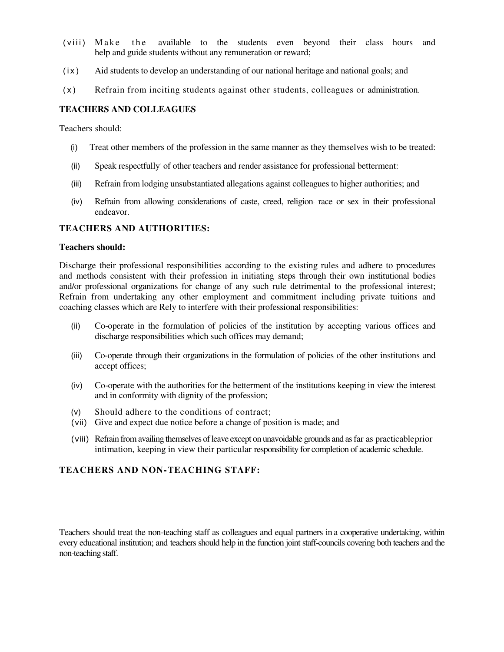- (viii) Make the available to the students even beyond their class hours and help and guide students without any remuneration or reward;
- (ix) Aid students to develop an understanding of our national heritage and national goals; and
- (x) Refrain from inciting students against other students, colleagues or administration.

### **TEACHERS AND COLLEAGUES**

Teachers should:

- (i) Treat other members of the profession in the same manner as they themselves wish to be treated:
- (ii) Speak respectfully of other teachers and render assistance for professional betterment:
- (iii) Refrain from lodging unsubstantiated allegations against colleagues to higher authorities; and
- (iv) Refrain from allowing considerations of caste, creed, religion: race or sex in their professional endeavor.

### **TEACHERS AND AUTHORITIES:**

#### **Teachers should:**

Discharge their professional responsibilities according to the existing rules and adhere to procedures and methods consistent with their profession in initiating steps through their own institutional bodies and/or professional organizations for change of any such rule detrimental to the professional interest; Refrain from undertaking any other employment and commitment including private tuitions and coaching classes which are Rely to interfere with their professional responsibilities:

- (ii) Co-operate in the formulation of policies of the institution by accepting various offices and discharge responsibilities which such offices may demand;
- (iii) Co-operate through their organizations in the formulation of policies of the other institutions and accept offices;
- (iv) Co-operate with the authorities for the betterment of the institutions keeping in view the interest and in conformity with dignity of the profession;
- (v) Should adhere to the conditions of contract;
- (vii) Give and expect due notice before a change of position is made; and
- (viii) Refrain from availing themselves of leave except on unavoidable grounds and as far as practicable prior intimation, keeping in view their particular responsibility for completion of academic schedule.

### **TEACHERS AND NON-TEACHING STAFF:**

Teachers should treat the non-teaching staff as colleagues and equal partners in a cooperative undertaking, within every educational institution; and teachers should help in the function joint staff-councils covering both teachers and the non-teaching staff.